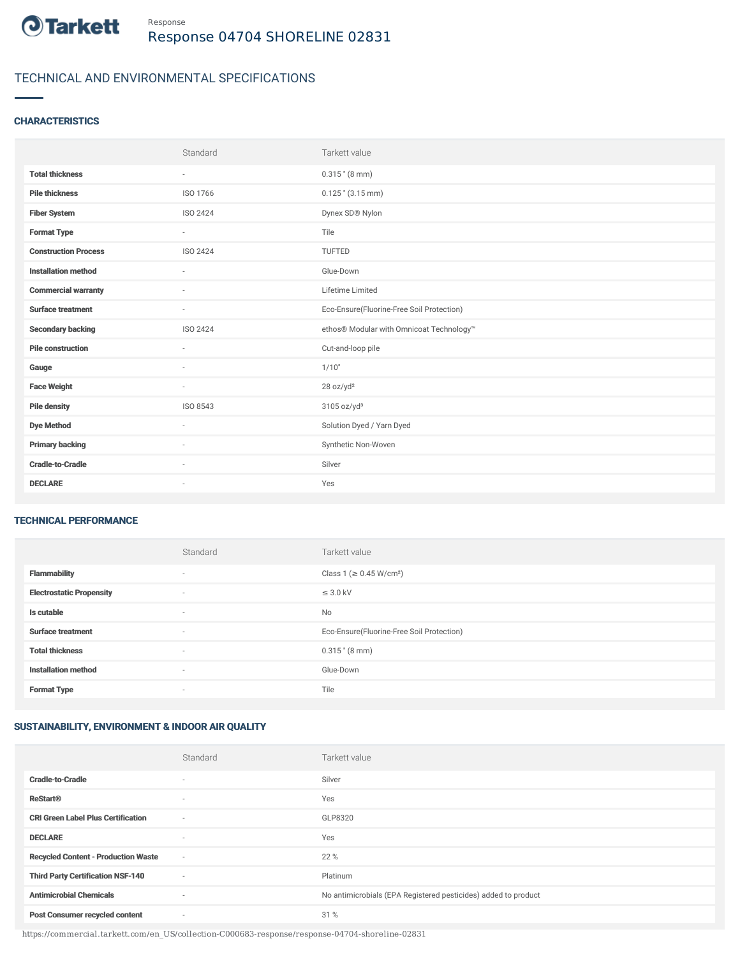

# TECHNICAL AND ENVIRONMENTAL SPECIFICATIONS

### **CHARACTERISTICS**

|                             | Standard | Tarkett value                             |
|-----------------------------|----------|-------------------------------------------|
| <b>Total thickness</b>      | $\sim$   | $0.315$ " (8 mm)                          |
| <b>Pile thickness</b>       | ISO 1766 | $0.125$ " $(3.15$ mm)                     |
| <b>Fiber System</b>         | ISO 2424 | Dynex SD® Nylon                           |
| <b>Format Type</b>          | $\sim$   | Tile                                      |
| <b>Construction Process</b> | ISO 2424 | TUFTED                                    |
| <b>Installation method</b>  | $\sim$   | Glue-Down                                 |
| <b>Commercial warranty</b>  |          | Lifetime Limited                          |
| <b>Surface treatment</b>    | $\sim$   | Eco-Ensure(Fluorine-Free Soil Protection) |
| <b>Secondary backing</b>    | ISO 2424 | ethos® Modular with Omnicoat Technology™  |
| <b>Pile construction</b>    | $\sim$   | Cut-and-loop pile                         |
| Gauge                       |          | 1/10"                                     |
| <b>Face Weight</b>          | $\sim$   | 28 oz/yd <sup>2</sup>                     |
| <b>Pile density</b>         | ISO 8543 | 3105 oz/yd <sup>3</sup>                   |
| <b>Dye Method</b>           | $\sim$   | Solution Dyed / Yarn Dyed                 |
| <b>Primary backing</b>      | $\sim$   | Synthetic Non-Woven                       |
| <b>Cradle-to-Cradle</b>     | $\sim$   | Silver                                    |
| <b>DECLARE</b>              | $\sim$   | Yes                                       |

#### TECHNICAL PERFORMANCE

|                                 | Standard                 | Tarkett value                             |
|---------------------------------|--------------------------|-------------------------------------------|
| <b>Flammability</b>             | ٠                        | Class 1 (≥ 0.45 W/cm <sup>2</sup> )       |
| <b>Electrostatic Propensity</b> | ٠                        | $\leq$ 3.0 kV                             |
| Is cutable                      | $\sim$                   | No                                        |
| <b>Surface treatment</b>        | $\overline{\phantom{a}}$ | Eco-Ensure(Fluorine-Free Soil Protection) |
| <b>Total thickness</b>          | ٠                        | $0.315$ " (8 mm)                          |
| <b>Installation method</b>      | $\sim$                   | Glue-Down                                 |
| <b>Format Type</b>              | $\overline{\phantom{a}}$ | Tile                                      |

## SUSTAINABILITY, ENVIRONMENT & INDOOR AIR QUALITY

|                                            | Standard                 | Tarkett value                                                  |
|--------------------------------------------|--------------------------|----------------------------------------------------------------|
| <b>Cradle-to-Cradle</b>                    | $\overline{\phantom{a}}$ | Silver                                                         |
| <b>ReStart<sup>®</sup></b>                 | $\sim$                   | Yes                                                            |
| <b>CRI Green Label Plus Certification</b>  | $\sim$                   | GLP8320                                                        |
| <b>DECLARE</b>                             | $\sim$                   | Yes                                                            |
| <b>Recycled Content - Production Waste</b> | $\sim$                   | 22 %                                                           |
| <b>Third Party Certification NSF-140</b>   | $\sim$                   | Platinum                                                       |
| <b>Antimicrobial Chemicals</b>             | $\sim$                   | No antimicrobials (EPA Registered pesticides) added to product |
| <b>Post Consumer recycled content</b>      | $\sim$                   | 31 %                                                           |

https://commercial.tarkett.com/en\_US/collection-C000683-response/response-04704-shoreline-02831